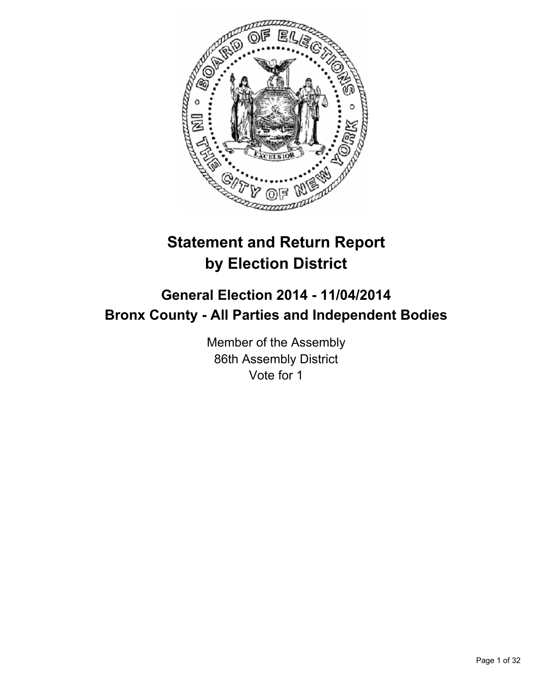

# **Statement and Return Report by Election District**

## **General Election 2014 - 11/04/2014 Bronx County - All Parties and Independent Bodies**

Member of the Assembly 86th Assembly District Vote for 1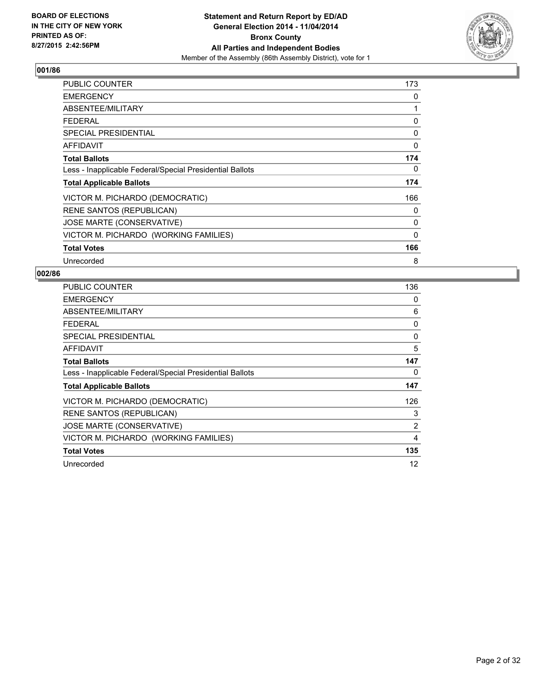

| PUBLIC COUNTER                                           | 173 |
|----------------------------------------------------------|-----|
| <b>EMERGENCY</b>                                         | 0   |
| ABSENTEE/MILITARY                                        | 1   |
| <b>FEDERAL</b>                                           | 0   |
| <b>SPECIAL PRESIDENTIAL</b>                              | 0   |
| <b>AFFIDAVIT</b>                                         | 0   |
| <b>Total Ballots</b>                                     | 174 |
| Less - Inapplicable Federal/Special Presidential Ballots | 0   |
| <b>Total Applicable Ballots</b>                          | 174 |
| VICTOR M. PICHARDO (DEMOCRATIC)                          | 166 |
| <b>RENE SANTOS (REPUBLICAN)</b>                          | 0   |
| JOSE MARTE (CONSERVATIVE)                                | 0   |
| VICTOR M. PICHARDO (WORKING FAMILIES)                    | 0   |
| <b>Total Votes</b>                                       | 166 |
| Unrecorded                                               | 8   |

| <b>PUBLIC COUNTER</b>                                    | 136 |
|----------------------------------------------------------|-----|
| <b>EMERGENCY</b>                                         | 0   |
| ABSENTEE/MILITARY                                        | 6   |
| <b>FEDERAL</b>                                           | 0   |
| SPECIAL PRESIDENTIAL                                     | 0   |
| AFFIDAVIT                                                | 5   |
| <b>Total Ballots</b>                                     | 147 |
| Less - Inapplicable Federal/Special Presidential Ballots | 0   |
| <b>Total Applicable Ballots</b>                          | 147 |
| VICTOR M. PICHARDO (DEMOCRATIC)                          | 126 |
| <b>RENE SANTOS (REPUBLICAN)</b>                          | 3   |
| JOSE MARTE (CONSERVATIVE)                                | 2   |
| VICTOR M. PICHARDO (WORKING FAMILIES)                    | 4   |
| <b>Total Votes</b>                                       | 135 |
| Unrecorded                                               | 12  |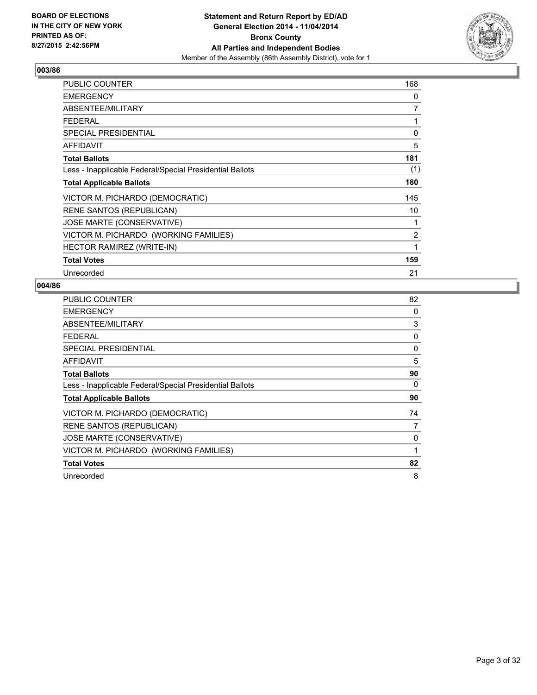

| <b>PUBLIC COUNTER</b>                                    | 168 |
|----------------------------------------------------------|-----|
| <b>EMERGENCY</b>                                         | 0   |
| ABSENTEE/MILITARY                                        | 7   |
| <b>FEDERAL</b>                                           | 1   |
| SPECIAL PRESIDENTIAL                                     | 0   |
| <b>AFFIDAVIT</b>                                         | 5   |
| <b>Total Ballots</b>                                     | 181 |
| Less - Inapplicable Federal/Special Presidential Ballots | (1) |
| <b>Total Applicable Ballots</b>                          | 180 |
| VICTOR M. PICHARDO (DEMOCRATIC)                          | 145 |
| <b>RENE SANTOS (REPUBLICAN)</b>                          | 10  |
| JOSE MARTE (CONSERVATIVE)                                | 1   |
| VICTOR M. PICHARDO (WORKING FAMILIES)                    | 2   |
| <b>HECTOR RAMIREZ (WRITE-IN)</b>                         | 1   |
| <b>Total Votes</b>                                       | 159 |
| Unrecorded                                               | 21  |

| <b>PUBLIC COUNTER</b>                                    | 82 |
|----------------------------------------------------------|----|
| <b>EMERGENCY</b>                                         | 0  |
| ABSENTEE/MILITARY                                        | 3  |
| <b>FEDERAL</b>                                           | 0  |
| <b>SPECIAL PRESIDENTIAL</b>                              | 0  |
| <b>AFFIDAVIT</b>                                         | 5  |
| <b>Total Ballots</b>                                     | 90 |
| Less - Inapplicable Federal/Special Presidential Ballots | 0  |
| <b>Total Applicable Ballots</b>                          | 90 |
| VICTOR M. PICHARDO (DEMOCRATIC)                          | 74 |
| <b>RENE SANTOS (REPUBLICAN)</b>                          | 7  |
| JOSE MARTE (CONSERVATIVE)                                | 0  |
| VICTOR M. PICHARDO (WORKING FAMILIES)                    | 1  |
| <b>Total Votes</b>                                       | 82 |
| Unrecorded                                               | 8  |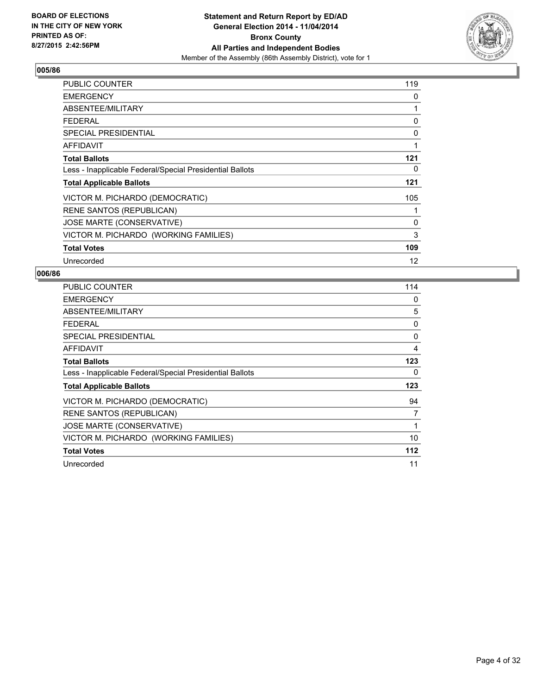

| PUBLIC COUNTER                                           | 119 |
|----------------------------------------------------------|-----|
| <b>EMERGENCY</b>                                         | 0   |
| ABSENTEE/MILITARY                                        | 1   |
| <b>FEDERAL</b>                                           | 0   |
| <b>SPECIAL PRESIDENTIAL</b>                              | 0   |
| <b>AFFIDAVIT</b>                                         | 1   |
| <b>Total Ballots</b>                                     | 121 |
| Less - Inapplicable Federal/Special Presidential Ballots | 0   |
| <b>Total Applicable Ballots</b>                          | 121 |
| VICTOR M. PICHARDO (DEMOCRATIC)                          | 105 |
| <b>RENE SANTOS (REPUBLICAN)</b>                          | 1   |
| JOSE MARTE (CONSERVATIVE)                                | 0   |
| VICTOR M. PICHARDO (WORKING FAMILIES)                    | 3   |
| <b>Total Votes</b>                                       | 109 |
| Unrecorded                                               | 12  |

| <b>PUBLIC COUNTER</b>                                    | 114 |
|----------------------------------------------------------|-----|
| <b>EMERGENCY</b>                                         | 0   |
| ABSENTEE/MILITARY                                        | 5   |
| <b>FEDERAL</b>                                           | 0   |
| SPECIAL PRESIDENTIAL                                     | 0   |
| <b>AFFIDAVIT</b>                                         | 4   |
| <b>Total Ballots</b>                                     | 123 |
| Less - Inapplicable Federal/Special Presidential Ballots | 0   |
| <b>Total Applicable Ballots</b>                          | 123 |
| VICTOR M. PICHARDO (DEMOCRATIC)                          | 94  |
| RENE SANTOS (REPUBLICAN)                                 | 7   |
| JOSE MARTE (CONSERVATIVE)                                | 1   |
| VICTOR M. PICHARDO (WORKING FAMILIES)                    | 10  |
| <b>Total Votes</b>                                       | 112 |
| Unrecorded                                               | 11  |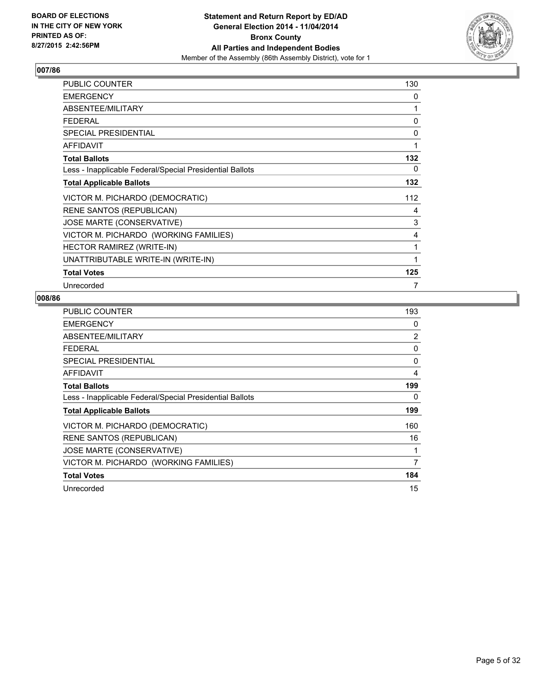

| <b>PUBLIC COUNTER</b>                                    | 130 |
|----------------------------------------------------------|-----|
| <b>EMERGENCY</b>                                         | 0   |
| ABSENTEE/MILITARY                                        | 1   |
| <b>FEDERAL</b>                                           | 0   |
| <b>SPECIAL PRESIDENTIAL</b>                              | 0   |
| <b>AFFIDAVIT</b>                                         | 1   |
| <b>Total Ballots</b>                                     | 132 |
| Less - Inapplicable Federal/Special Presidential Ballots | 0   |
| <b>Total Applicable Ballots</b>                          | 132 |
| VICTOR M. PICHARDO (DEMOCRATIC)                          | 112 |
| RENE SANTOS (REPUBLICAN)                                 | 4   |
| JOSE MARTE (CONSERVATIVE)                                | 3   |
| VICTOR M. PICHARDO (WORKING FAMILIES)                    | 4   |
| <b>HECTOR RAMIREZ (WRITE-IN)</b>                         | 1   |
| UNATTRIBUTABLE WRITE-IN (WRITE-IN)                       |     |
| <b>Total Votes</b>                                       | 125 |
| Unrecorded                                               | 7   |

| <b>PUBLIC COUNTER</b>                                    | 193            |
|----------------------------------------------------------|----------------|
| <b>EMERGENCY</b>                                         | 0              |
| ABSENTEE/MILITARY                                        | $\overline{2}$ |
| <b>FEDERAL</b>                                           | 0              |
| <b>SPECIAL PRESIDENTIAL</b>                              | 0              |
| <b>AFFIDAVIT</b>                                         | 4              |
| <b>Total Ballots</b>                                     | 199            |
| Less - Inapplicable Federal/Special Presidential Ballots | 0              |
| <b>Total Applicable Ballots</b>                          | 199            |
| VICTOR M. PICHARDO (DEMOCRATIC)                          | 160            |
| <b>RENE SANTOS (REPUBLICAN)</b>                          | 16             |
| JOSE MARTE (CONSERVATIVE)                                |                |
| VICTOR M. PICHARDO (WORKING FAMILIES)                    | 7              |
| <b>Total Votes</b>                                       | 184            |
| Unrecorded                                               | 15             |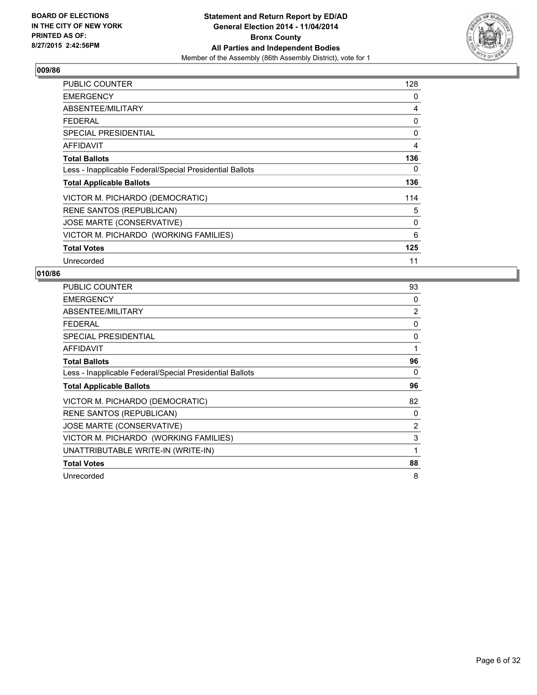

| <b>PUBLIC COUNTER</b>                                    | 128 |
|----------------------------------------------------------|-----|
| <b>EMERGENCY</b>                                         | 0   |
| ABSENTEE/MILITARY                                        | 4   |
| <b>FEDERAL</b>                                           | 0   |
| <b>SPECIAL PRESIDENTIAL</b>                              | 0   |
| <b>AFFIDAVIT</b>                                         | 4   |
| <b>Total Ballots</b>                                     | 136 |
| Less - Inapplicable Federal/Special Presidential Ballots | 0   |
| <b>Total Applicable Ballots</b>                          | 136 |
| VICTOR M. PICHARDO (DEMOCRATIC)                          | 114 |
| <b>RENE SANTOS (REPUBLICAN)</b>                          | 5   |
| JOSE MARTE (CONSERVATIVE)                                | 0   |
| VICTOR M. PICHARDO (WORKING FAMILIES)                    | 6   |
| <b>Total Votes</b>                                       | 125 |
| Unrecorded                                               | 11  |

| <b>PUBLIC COUNTER</b>                                    | 93             |
|----------------------------------------------------------|----------------|
| <b>EMERGENCY</b>                                         | 0              |
| ABSENTEE/MILITARY                                        | $\overline{2}$ |
| <b>FEDERAL</b>                                           | 0              |
| <b>SPECIAL PRESIDENTIAL</b>                              | 0              |
| AFFIDAVIT                                                | 1              |
| <b>Total Ballots</b>                                     | 96             |
| Less - Inapplicable Federal/Special Presidential Ballots | 0              |
| <b>Total Applicable Ballots</b>                          | 96             |
| VICTOR M. PICHARDO (DEMOCRATIC)                          | 82             |
| <b>RENE SANTOS (REPUBLICAN)</b>                          | 0              |
| JOSE MARTE (CONSERVATIVE)                                | 2              |
| VICTOR M. PICHARDO (WORKING FAMILIES)                    | 3              |
| UNATTRIBUTABLE WRITE-IN (WRITE-IN)                       | 1              |
| <b>Total Votes</b>                                       | 88             |
| Unrecorded                                               | 8              |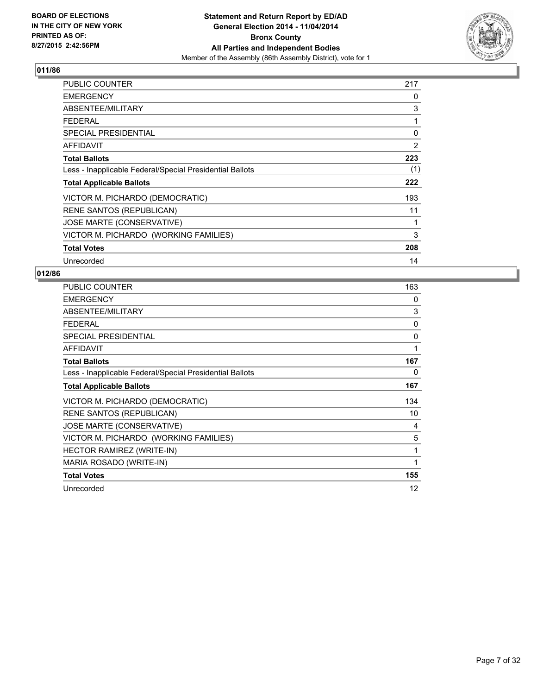

| PUBLIC COUNTER                                           | 217 |
|----------------------------------------------------------|-----|
| <b>EMERGENCY</b>                                         | 0   |
| ABSENTEE/MILITARY                                        | 3   |
| <b>FEDERAL</b>                                           | 1   |
| <b>SPECIAL PRESIDENTIAL</b>                              | 0   |
| <b>AFFIDAVIT</b>                                         | 2   |
| <b>Total Ballots</b>                                     | 223 |
| Less - Inapplicable Federal/Special Presidential Ballots | (1) |
| <b>Total Applicable Ballots</b>                          | 222 |
| VICTOR M. PICHARDO (DEMOCRATIC)                          | 193 |
| <b>RENE SANTOS (REPUBLICAN)</b>                          | 11  |
| JOSE MARTE (CONSERVATIVE)                                | 1   |
| VICTOR M. PICHARDO (WORKING FAMILIES)                    | 3   |
| <b>Total Votes</b>                                       | 208 |
| Unrecorded                                               | 14  |

| PUBLIC COUNTER                                           | 163 |
|----------------------------------------------------------|-----|
| <b>EMERGENCY</b>                                         | 0   |
| ABSENTEE/MILITARY                                        | 3   |
| <b>FEDERAL</b>                                           | 0   |
| <b>SPECIAL PRESIDENTIAL</b>                              | 0   |
| <b>AFFIDAVIT</b>                                         | 1   |
| <b>Total Ballots</b>                                     | 167 |
| Less - Inapplicable Federal/Special Presidential Ballots | 0   |
| <b>Total Applicable Ballots</b>                          | 167 |
| VICTOR M. PICHARDO (DEMOCRATIC)                          | 134 |
| <b>RENE SANTOS (REPUBLICAN)</b>                          | 10  |
| JOSE MARTE (CONSERVATIVE)                                | 4   |
| VICTOR M. PICHARDO (WORKING FAMILIES)                    | 5   |
| HECTOR RAMIREZ (WRITE-IN)                                | 1   |
| MARIA ROSADO (WRITE-IN)                                  | 1   |
| <b>Total Votes</b>                                       | 155 |
| Unrecorded                                               | 12  |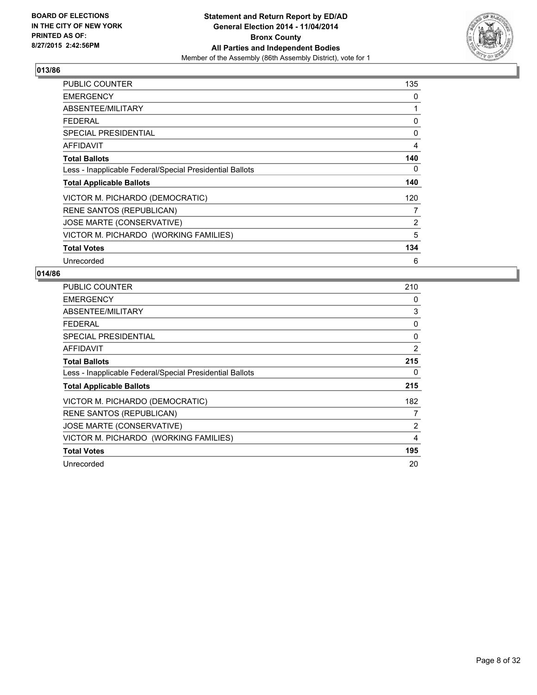

| <b>PUBLIC COUNTER</b>                                    | 135 |
|----------------------------------------------------------|-----|
| <b>EMERGENCY</b>                                         | 0   |
| ABSENTEE/MILITARY                                        | 1   |
| <b>FEDERAL</b>                                           | 0   |
| <b>SPECIAL PRESIDENTIAL</b>                              | 0   |
| <b>AFFIDAVIT</b>                                         | 4   |
| <b>Total Ballots</b>                                     | 140 |
| Less - Inapplicable Federal/Special Presidential Ballots | 0   |
| <b>Total Applicable Ballots</b>                          | 140 |
| VICTOR M. PICHARDO (DEMOCRATIC)                          | 120 |
| RENE SANTOS (REPUBLICAN)                                 | 7   |
| JOSE MARTE (CONSERVATIVE)                                | 2   |
| VICTOR M. PICHARDO (WORKING FAMILIES)                    | 5   |
| <b>Total Votes</b>                                       | 134 |
| Unrecorded                                               | 6   |

| PUBLIC COUNTER                                           | 210 |
|----------------------------------------------------------|-----|
| <b>EMERGENCY</b>                                         | 0   |
| ABSENTEE/MILITARY                                        | 3   |
| <b>FEDERAL</b>                                           | 0   |
| <b>SPECIAL PRESIDENTIAL</b>                              | 0   |
| AFFIDAVIT                                                | 2   |
| <b>Total Ballots</b>                                     | 215 |
| Less - Inapplicable Federal/Special Presidential Ballots | 0   |
| <b>Total Applicable Ballots</b>                          | 215 |
| VICTOR M. PICHARDO (DEMOCRATIC)                          | 182 |
| <b>RENE SANTOS (REPUBLICAN)</b>                          | 7   |
| JOSE MARTE (CONSERVATIVE)                                | 2   |
| VICTOR M. PICHARDO (WORKING FAMILIES)                    | 4   |
| <b>Total Votes</b>                                       | 195 |
| Unrecorded                                               | 20  |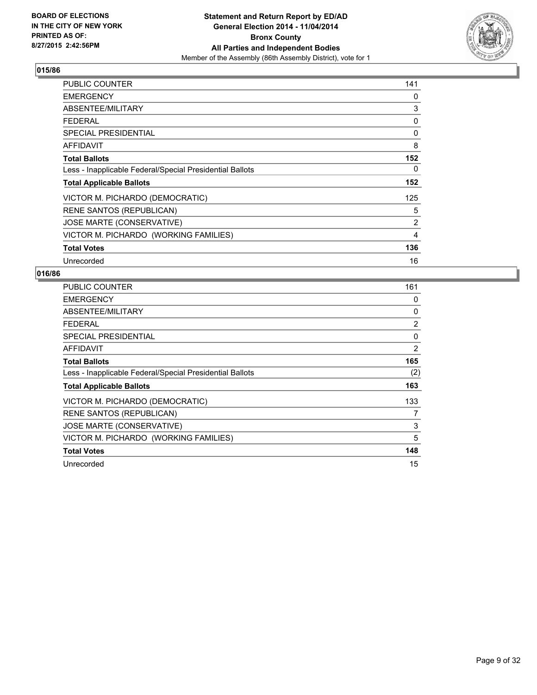

| <b>PUBLIC COUNTER</b>                                    | 141 |
|----------------------------------------------------------|-----|
| <b>EMERGENCY</b>                                         | 0   |
| ABSENTEE/MILITARY                                        | 3   |
| <b>FEDERAL</b>                                           | 0   |
| <b>SPECIAL PRESIDENTIAL</b>                              | 0   |
| <b>AFFIDAVIT</b>                                         | 8   |
| <b>Total Ballots</b>                                     | 152 |
| Less - Inapplicable Federal/Special Presidential Ballots | 0   |
| <b>Total Applicable Ballots</b>                          | 152 |
| VICTOR M. PICHARDO (DEMOCRATIC)                          | 125 |
| <b>RENE SANTOS (REPUBLICAN)</b>                          | 5   |
| JOSE MARTE (CONSERVATIVE)                                | 2   |
| VICTOR M. PICHARDO (WORKING FAMILIES)                    | 4   |
| <b>Total Votes</b>                                       | 136 |
| Unrecorded                                               | 16  |

| <b>PUBLIC COUNTER</b>                                    | 161 |
|----------------------------------------------------------|-----|
| <b>EMERGENCY</b>                                         | 0   |
| ABSENTEE/MILITARY                                        | 0   |
| <b>FEDERAL</b>                                           | 2   |
| SPECIAL PRESIDENTIAL                                     | 0   |
| AFFIDAVIT                                                | 2   |
| <b>Total Ballots</b>                                     | 165 |
| Less - Inapplicable Federal/Special Presidential Ballots | (2) |
| <b>Total Applicable Ballots</b>                          | 163 |
| VICTOR M. PICHARDO (DEMOCRATIC)                          | 133 |
| <b>RENE SANTOS (REPUBLICAN)</b>                          | 7   |
| JOSE MARTE (CONSERVATIVE)                                | 3   |
| VICTOR M. PICHARDO (WORKING FAMILIES)                    | 5   |
| <b>Total Votes</b>                                       | 148 |
| Unrecorded                                               | 15  |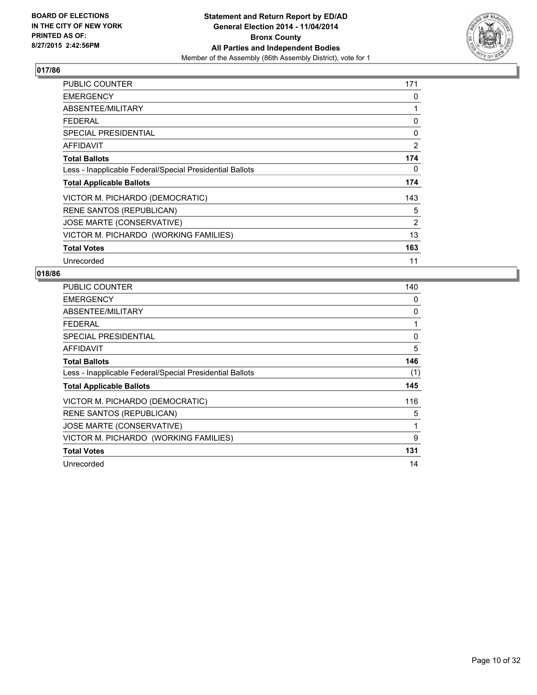

| PUBLIC COUNTER                                           | 171            |
|----------------------------------------------------------|----------------|
| <b>EMERGENCY</b>                                         | 0              |
| ABSENTEE/MILITARY                                        | 1              |
| <b>FEDERAL</b>                                           | 0              |
| SPECIAL PRESIDENTIAL                                     | 0              |
| <b>AFFIDAVIT</b>                                         | $\overline{2}$ |
| <b>Total Ballots</b>                                     | 174            |
| Less - Inapplicable Federal/Special Presidential Ballots | 0              |
| <b>Total Applicable Ballots</b>                          | 174            |
| VICTOR M. PICHARDO (DEMOCRATIC)                          | 143            |
| <b>RENE SANTOS (REPUBLICAN)</b>                          | 5              |
| JOSE MARTE (CONSERVATIVE)                                | 2              |
| VICTOR M. PICHARDO (WORKING FAMILIES)                    | 13             |
| <b>Total Votes</b>                                       | 163            |
| Unrecorded                                               | 11             |

| <b>PUBLIC COUNTER</b>                                    | 140 |
|----------------------------------------------------------|-----|
| <b>EMERGENCY</b>                                         | 0   |
| ABSENTEE/MILITARY                                        | 0   |
| <b>FEDERAL</b>                                           | 1   |
| SPECIAL PRESIDENTIAL                                     | 0   |
| <b>AFFIDAVIT</b>                                         | 5   |
| <b>Total Ballots</b>                                     | 146 |
| Less - Inapplicable Federal/Special Presidential Ballots | (1) |
| <b>Total Applicable Ballots</b>                          | 145 |
| VICTOR M. PICHARDO (DEMOCRATIC)                          | 116 |
| <b>RENE SANTOS (REPUBLICAN)</b>                          | 5   |
| JOSE MARTE (CONSERVATIVE)                                | 1   |
| VICTOR M. PICHARDO (WORKING FAMILIES)                    | 9   |
| <b>Total Votes</b>                                       | 131 |
| Unrecorded                                               | 14  |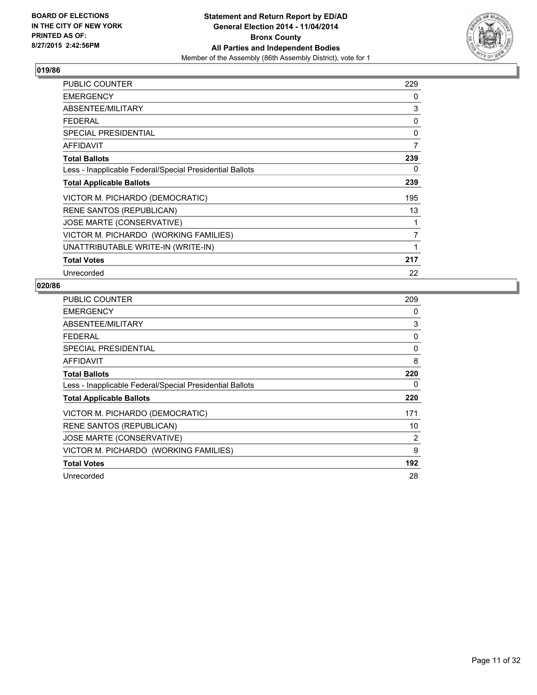

| PUBLIC COUNTER                                           | 229            |
|----------------------------------------------------------|----------------|
| <b>EMERGENCY</b>                                         | 0              |
| ABSENTEE/MILITARY                                        | 3              |
| <b>FEDERAL</b>                                           | 0              |
| SPECIAL PRESIDENTIAL                                     | 0              |
| <b>AFFIDAVIT</b>                                         | 7              |
| <b>Total Ballots</b>                                     | 239            |
| Less - Inapplicable Federal/Special Presidential Ballots | 0              |
| <b>Total Applicable Ballots</b>                          | 239            |
| VICTOR M. PICHARDO (DEMOCRATIC)                          | 195            |
| <b>RENE SANTOS (REPUBLICAN)</b>                          | 13             |
| <b>JOSE MARTE (CONSERVATIVE)</b>                         | 1              |
| VICTOR M. PICHARDO (WORKING FAMILIES)                    | $\overline{7}$ |
| UNATTRIBUTABLE WRITE-IN (WRITE-IN)                       | 1              |
| <b>Total Votes</b>                                       | 217            |
| Unrecorded                                               | 22             |

| <b>PUBLIC COUNTER</b>                                    | 209 |
|----------------------------------------------------------|-----|
| <b>EMERGENCY</b>                                         | 0   |
| ABSENTEE/MILITARY                                        | 3   |
| <b>FEDERAL</b>                                           | 0   |
| <b>SPECIAL PRESIDENTIAL</b>                              | 0   |
| <b>AFFIDAVIT</b>                                         | 8   |
| <b>Total Ballots</b>                                     | 220 |
| Less - Inapplicable Federal/Special Presidential Ballots | 0   |
| <b>Total Applicable Ballots</b>                          | 220 |
| VICTOR M. PICHARDO (DEMOCRATIC)                          | 171 |
| RENE SANTOS (REPUBLICAN)                                 | 10  |
| JOSE MARTE (CONSERVATIVE)                                | 2   |
| VICTOR M. PICHARDO (WORKING FAMILIES)                    | 9   |
| <b>Total Votes</b>                                       | 192 |
| Unrecorded                                               | 28  |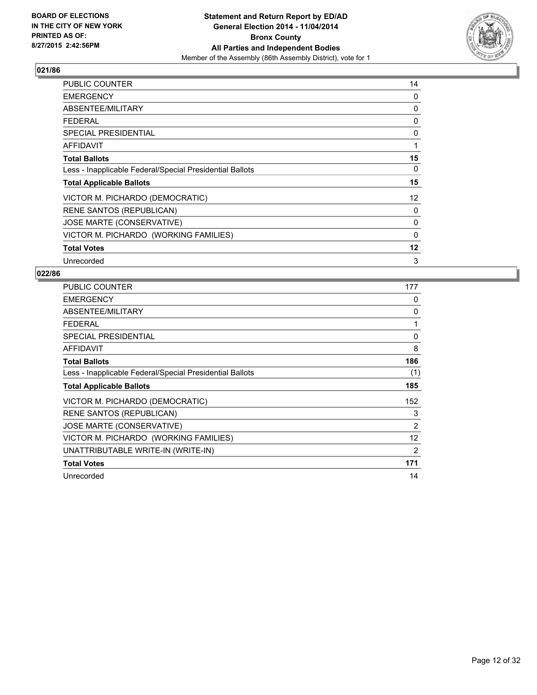

| <b>PUBLIC COUNTER</b>                                    | 14 |
|----------------------------------------------------------|----|
| <b>EMERGENCY</b>                                         | 0  |
| ABSENTEE/MILITARY                                        | 0  |
| <b>FEDERAL</b>                                           | 0  |
| <b>SPECIAL PRESIDENTIAL</b>                              | 0  |
| <b>AFFIDAVIT</b>                                         | 1  |
| <b>Total Ballots</b>                                     | 15 |
| Less - Inapplicable Federal/Special Presidential Ballots | 0  |
| <b>Total Applicable Ballots</b>                          | 15 |
| VICTOR M. PICHARDO (DEMOCRATIC)                          | 12 |
| <b>RENE SANTOS (REPUBLICAN)</b>                          | 0  |
| JOSE MARTE (CONSERVATIVE)                                | 0  |
| VICTOR M. PICHARDO (WORKING FAMILIES)                    | 0  |
| <b>Total Votes</b>                                       | 12 |
| Unrecorded                                               | 3  |

| <b>PUBLIC COUNTER</b>                                    | 177               |
|----------------------------------------------------------|-------------------|
| <b>EMERGENCY</b>                                         | 0                 |
| ABSENTEE/MILITARY                                        | 0                 |
| <b>FEDERAL</b>                                           | 1                 |
| <b>SPECIAL PRESIDENTIAL</b>                              | 0                 |
| <b>AFFIDAVIT</b>                                         | 8                 |
| <b>Total Ballots</b>                                     | 186               |
| Less - Inapplicable Federal/Special Presidential Ballots | (1)               |
| <b>Total Applicable Ballots</b>                          | 185               |
| VICTOR M. PICHARDO (DEMOCRATIC)                          | 152               |
| <b>RENE SANTOS (REPUBLICAN)</b>                          | 3                 |
| <b>JOSE MARTE (CONSERVATIVE)</b>                         | 2                 |
| VICTOR M. PICHARDO (WORKING FAMILIES)                    | $12 \overline{ }$ |
| UNATTRIBUTABLE WRITE-IN (WRITE-IN)                       | 2                 |
| <b>Total Votes</b>                                       | 171               |
| Unrecorded                                               | 14                |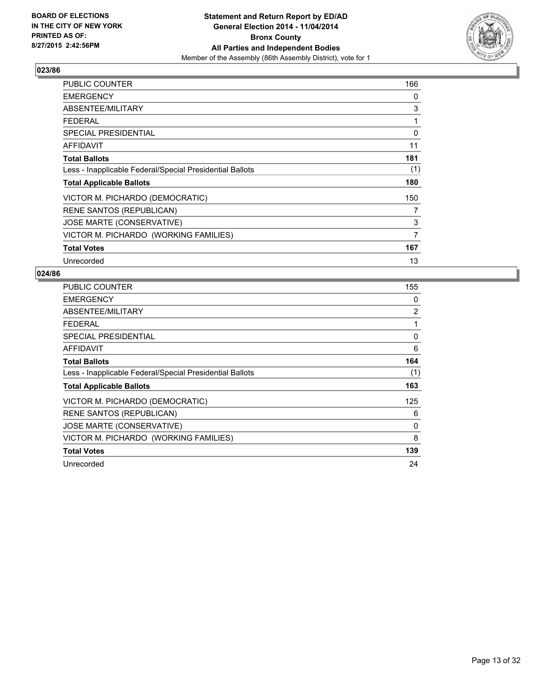

| <b>PUBLIC COUNTER</b>                                    | 166            |
|----------------------------------------------------------|----------------|
| <b>EMERGENCY</b>                                         | 0              |
| ABSENTEE/MILITARY                                        | 3              |
| <b>FEDERAL</b>                                           | 1              |
| SPECIAL PRESIDENTIAL                                     | 0              |
| AFFIDAVIT                                                | 11             |
| <b>Total Ballots</b>                                     | 181            |
| Less - Inapplicable Federal/Special Presidential Ballots | (1)            |
| <b>Total Applicable Ballots</b>                          | 180            |
| VICTOR M. PICHARDO (DEMOCRATIC)                          | 150            |
| <b>RENE SANTOS (REPUBLICAN)</b>                          | 7              |
| JOSE MARTE (CONSERVATIVE)                                | 3              |
| VICTOR M. PICHARDO (WORKING FAMILIES)                    | $\overline{7}$ |
| <b>Total Votes</b>                                       | 167            |
| Unrecorded                                               | 13             |

| PUBLIC COUNTER                                           | 155 |
|----------------------------------------------------------|-----|
| <b>EMERGENCY</b>                                         | 0   |
| ABSENTEE/MILITARY                                        | 2   |
| <b>FEDERAL</b>                                           | 1   |
| <b>SPECIAL PRESIDENTIAL</b>                              | 0   |
| AFFIDAVIT                                                | 6   |
| <b>Total Ballots</b>                                     | 164 |
| Less - Inapplicable Federal/Special Presidential Ballots | (1) |
| <b>Total Applicable Ballots</b>                          | 163 |
| VICTOR M. PICHARDO (DEMOCRATIC)                          | 125 |
| <b>RENE SANTOS (REPUBLICAN)</b>                          | 6   |
| JOSE MARTE (CONSERVATIVE)                                | 0   |
| VICTOR M. PICHARDO (WORKING FAMILIES)                    | 8   |
| <b>Total Votes</b>                                       | 139 |
| Unrecorded                                               | 24  |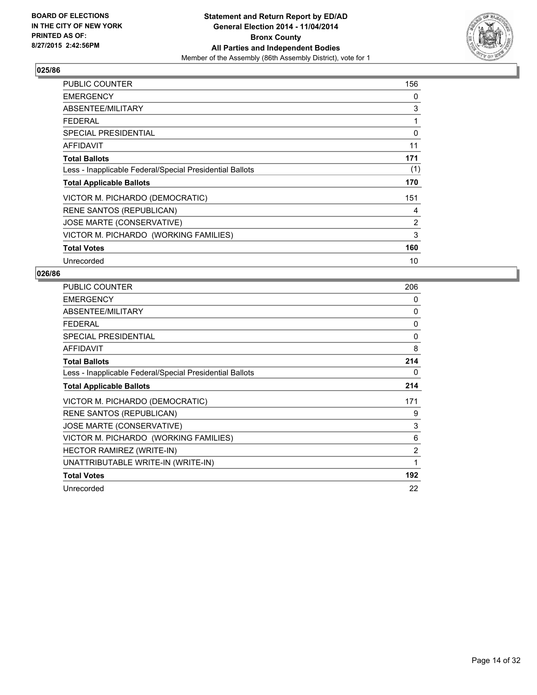

| <b>PUBLIC COUNTER</b>                                    | 156 |
|----------------------------------------------------------|-----|
| <b>EMERGENCY</b>                                         | 0   |
| ABSENTEE/MILITARY                                        | 3   |
| <b>FEDERAL</b>                                           | 1   |
| <b>SPECIAL PRESIDENTIAL</b>                              | 0   |
| AFFIDAVIT                                                | 11  |
| <b>Total Ballots</b>                                     | 171 |
| Less - Inapplicable Federal/Special Presidential Ballots | (1) |
| <b>Total Applicable Ballots</b>                          | 170 |
| VICTOR M. PICHARDO (DEMOCRATIC)                          | 151 |
| <b>RENE SANTOS (REPUBLICAN)</b>                          | 4   |
| JOSE MARTE (CONSERVATIVE)                                | 2   |
| VICTOR M. PICHARDO (WORKING FAMILIES)                    | 3   |
| <b>Total Votes</b>                                       | 160 |
| Unrecorded                                               | 10  |

| <b>PUBLIC COUNTER</b>                                    | 206 |
|----------------------------------------------------------|-----|
| <b>EMERGENCY</b>                                         | 0   |
| ABSENTEE/MILITARY                                        | 0   |
| <b>FEDERAL</b>                                           | 0   |
| <b>SPECIAL PRESIDENTIAL</b>                              | 0   |
| <b>AFFIDAVIT</b>                                         | 8   |
| <b>Total Ballots</b>                                     | 214 |
| Less - Inapplicable Federal/Special Presidential Ballots | 0   |
| <b>Total Applicable Ballots</b>                          | 214 |
| VICTOR M. PICHARDO (DEMOCRATIC)                          | 171 |
| <b>RENE SANTOS (REPUBLICAN)</b>                          | 9   |
| JOSE MARTE (CONSERVATIVE)                                | 3   |
| VICTOR M. PICHARDO (WORKING FAMILIES)                    | 6   |
| <b>HECTOR RAMIREZ (WRITE-IN)</b>                         | 2   |
| UNATTRIBUTABLE WRITE-IN (WRITE-IN)                       | 1   |
| <b>Total Votes</b>                                       | 192 |
| Unrecorded                                               | 22  |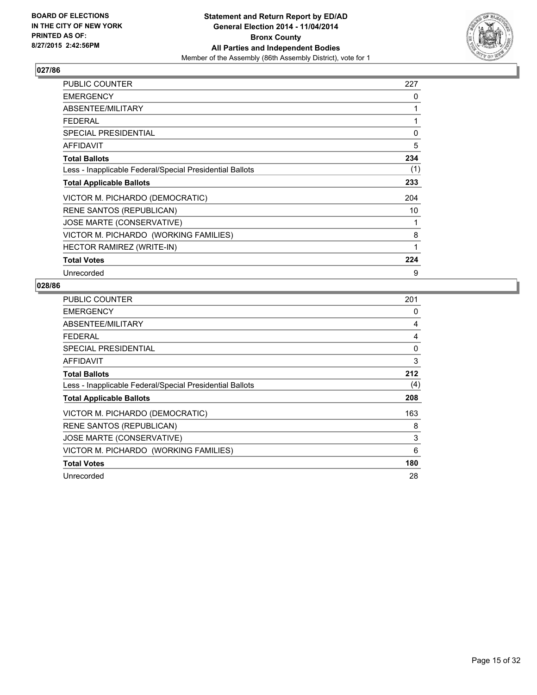

| PUBLIC COUNTER                                           | 227 |
|----------------------------------------------------------|-----|
| <b>EMERGENCY</b>                                         | 0   |
| ABSENTEE/MILITARY                                        | 1   |
| <b>FEDERAL</b>                                           | 1   |
| <b>SPECIAL PRESIDENTIAL</b>                              | 0   |
| AFFIDAVIT                                                | 5   |
| <b>Total Ballots</b>                                     | 234 |
| Less - Inapplicable Federal/Special Presidential Ballots | (1) |
| <b>Total Applicable Ballots</b>                          | 233 |
| VICTOR M. PICHARDO (DEMOCRATIC)                          | 204 |
| <b>RENE SANTOS (REPUBLICAN)</b>                          | 10  |
| JOSE MARTE (CONSERVATIVE)                                | 1   |
| VICTOR M. PICHARDO (WORKING FAMILIES)                    | 8   |
| HECTOR RAMIREZ (WRITE-IN)                                | 1   |
| <b>Total Votes</b>                                       | 224 |
| Unrecorded                                               | 9   |

| <b>PUBLIC COUNTER</b>                                    | 201 |
|----------------------------------------------------------|-----|
| <b>EMERGENCY</b>                                         | 0   |
| ABSENTEE/MILITARY                                        | 4   |
| <b>FEDERAL</b>                                           | 4   |
| <b>SPECIAL PRESIDENTIAL</b>                              | 0   |
| <b>AFFIDAVIT</b>                                         | 3   |
| <b>Total Ballots</b>                                     | 212 |
| Less - Inapplicable Federal/Special Presidential Ballots | (4) |
| <b>Total Applicable Ballots</b>                          | 208 |
| VICTOR M. PICHARDO (DEMOCRATIC)                          | 163 |
| RENE SANTOS (REPUBLICAN)                                 | 8   |
| JOSE MARTE (CONSERVATIVE)                                | 3   |
| VICTOR M. PICHARDO (WORKING FAMILIES)                    | 6   |
| <b>Total Votes</b>                                       | 180 |
| Unrecorded                                               | 28  |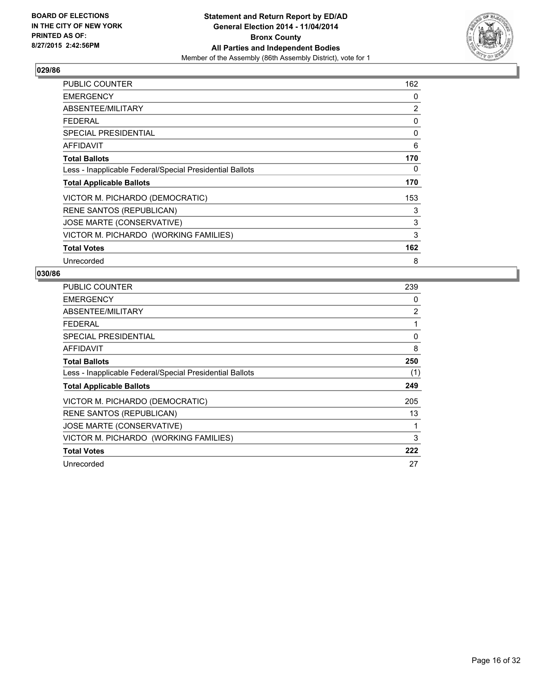

| PUBLIC COUNTER                                           | 162 |
|----------------------------------------------------------|-----|
| <b>EMERGENCY</b>                                         | 0   |
| ABSENTEE/MILITARY                                        | 2   |
| <b>FEDERAL</b>                                           | 0   |
| SPECIAL PRESIDENTIAL                                     | 0   |
| AFFIDAVIT                                                | 6   |
| <b>Total Ballots</b>                                     | 170 |
| Less - Inapplicable Federal/Special Presidential Ballots | 0   |
| <b>Total Applicable Ballots</b>                          | 170 |
| VICTOR M. PICHARDO (DEMOCRATIC)                          | 153 |
| <b>RENE SANTOS (REPUBLICAN)</b>                          | 3   |
| JOSE MARTE (CONSERVATIVE)                                | 3   |
| VICTOR M. PICHARDO (WORKING FAMILIES)                    | 3   |
| <b>Total Votes</b>                                       | 162 |
| Unrecorded                                               | 8   |

| <b>PUBLIC COUNTER</b>                                    | 239 |
|----------------------------------------------------------|-----|
| <b>EMERGENCY</b>                                         | 0   |
| ABSENTEE/MILITARY                                        | 2   |
| <b>FEDERAL</b>                                           | 1   |
| <b>SPECIAL PRESIDENTIAL</b>                              | 0   |
| AFFIDAVIT                                                | 8   |
| <b>Total Ballots</b>                                     | 250 |
| Less - Inapplicable Federal/Special Presidential Ballots | (1) |
| <b>Total Applicable Ballots</b>                          | 249 |
| VICTOR M. PICHARDO (DEMOCRATIC)                          | 205 |
| <b>RENE SANTOS (REPUBLICAN)</b>                          | 13  |
| JOSE MARTE (CONSERVATIVE)                                | 1   |
| VICTOR M. PICHARDO (WORKING FAMILIES)                    | 3   |
| <b>Total Votes</b>                                       | 222 |
| Unrecorded                                               | 27  |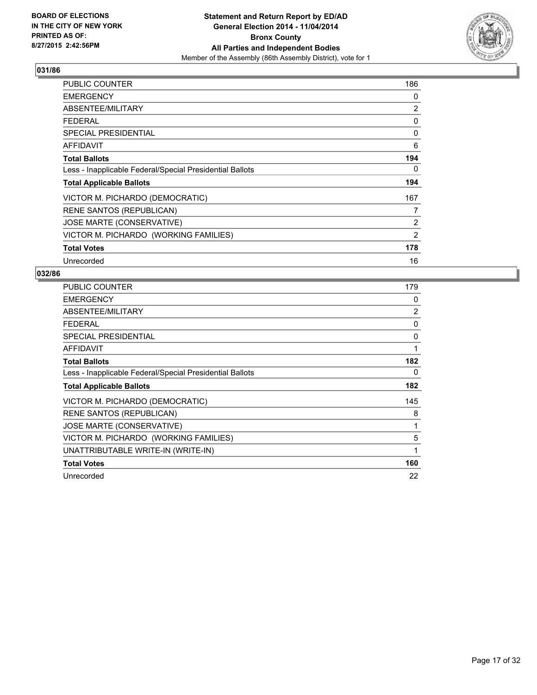

| PUBLIC COUNTER                                           | 186            |
|----------------------------------------------------------|----------------|
| <b>EMERGENCY</b>                                         | 0              |
| ABSENTEE/MILITARY                                        | $\overline{2}$ |
| <b>FEDERAL</b>                                           | 0              |
| <b>SPECIAL PRESIDENTIAL</b>                              | 0              |
| <b>AFFIDAVIT</b>                                         | 6              |
| <b>Total Ballots</b>                                     | 194            |
| Less - Inapplicable Federal/Special Presidential Ballots | 0              |
| <b>Total Applicable Ballots</b>                          | 194            |
| VICTOR M. PICHARDO (DEMOCRATIC)                          | 167            |
| <b>RENE SANTOS (REPUBLICAN)</b>                          | 7              |
| JOSE MARTE (CONSERVATIVE)                                | 2              |
| VICTOR M. PICHARDO (WORKING FAMILIES)                    | $\overline{2}$ |
| <b>Total Votes</b>                                       | 178            |
| Unrecorded                                               | 16             |

| <b>PUBLIC COUNTER</b>                                    | 179      |
|----------------------------------------------------------|----------|
| <b>EMERGENCY</b>                                         | 0        |
| ABSENTEE/MILITARY                                        | 2        |
| <b>FEDERAL</b>                                           | $\Omega$ |
| <b>SPECIAL PRESIDENTIAL</b>                              | 0        |
| AFFIDAVIT                                                | 1        |
| <b>Total Ballots</b>                                     | 182      |
| Less - Inapplicable Federal/Special Presidential Ballots | 0        |
| <b>Total Applicable Ballots</b>                          | 182      |
| VICTOR M. PICHARDO (DEMOCRATIC)                          | 145      |
| RENE SANTOS (REPUBLICAN)                                 | 8        |
| JOSE MARTE (CONSERVATIVE)                                | 1        |
| VICTOR M. PICHARDO (WORKING FAMILIES)                    | 5        |
| UNATTRIBUTABLE WRITE-IN (WRITE-IN)                       | 1        |
|                                                          |          |
| <b>Total Votes</b>                                       | 160      |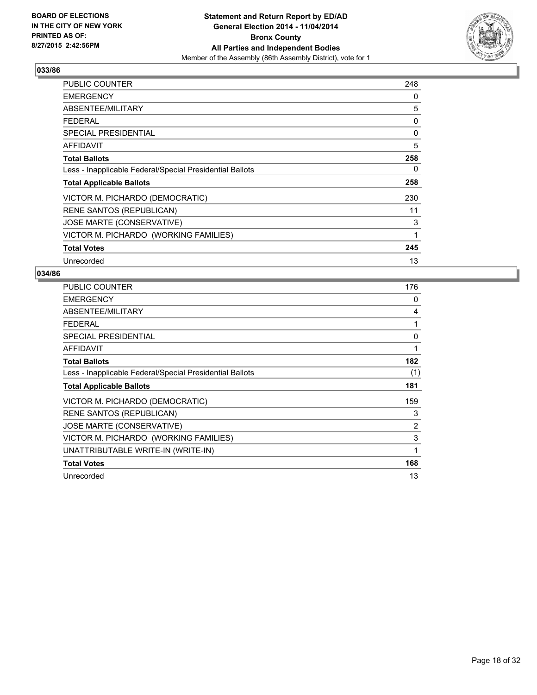

| PUBLIC COUNTER                                           | 248 |
|----------------------------------------------------------|-----|
| <b>EMERGENCY</b>                                         | 0   |
| ABSENTEE/MILITARY                                        | 5   |
| <b>FEDERAL</b>                                           | 0   |
| <b>SPECIAL PRESIDENTIAL</b>                              | 0   |
| AFFIDAVIT                                                | 5   |
| <b>Total Ballots</b>                                     | 258 |
| Less - Inapplicable Federal/Special Presidential Ballots | 0   |
| <b>Total Applicable Ballots</b>                          | 258 |
| VICTOR M. PICHARDO (DEMOCRATIC)                          | 230 |
| <b>RENE SANTOS (REPUBLICAN)</b>                          | 11  |
| JOSE MARTE (CONSERVATIVE)                                | 3   |
| VICTOR M. PICHARDO (WORKING FAMILIES)                    | 1   |
| <b>Total Votes</b>                                       | 245 |
| Unrecorded                                               | 13  |

| <b>PUBLIC COUNTER</b>                                    | 176 |
|----------------------------------------------------------|-----|
| <b>EMERGENCY</b>                                         | 0   |
| ABSENTEE/MILITARY                                        | 4   |
| <b>FEDERAL</b>                                           | 1   |
| <b>SPECIAL PRESIDENTIAL</b>                              | 0   |
| <b>AFFIDAVIT</b>                                         | 1   |
| <b>Total Ballots</b>                                     | 182 |
| Less - Inapplicable Federal/Special Presidential Ballots | (1) |
| <b>Total Applicable Ballots</b>                          | 181 |
| VICTOR M. PICHARDO (DEMOCRATIC)                          | 159 |
| <b>RENE SANTOS (REPUBLICAN)</b>                          | 3   |
| JOSE MARTE (CONSERVATIVE)                                | 2   |
| VICTOR M. PICHARDO (WORKING FAMILIES)                    | 3   |
| UNATTRIBUTABLE WRITE-IN (WRITE-IN)                       | 1   |
| <b>Total Votes</b>                                       | 168 |
| Unrecorded                                               | 13  |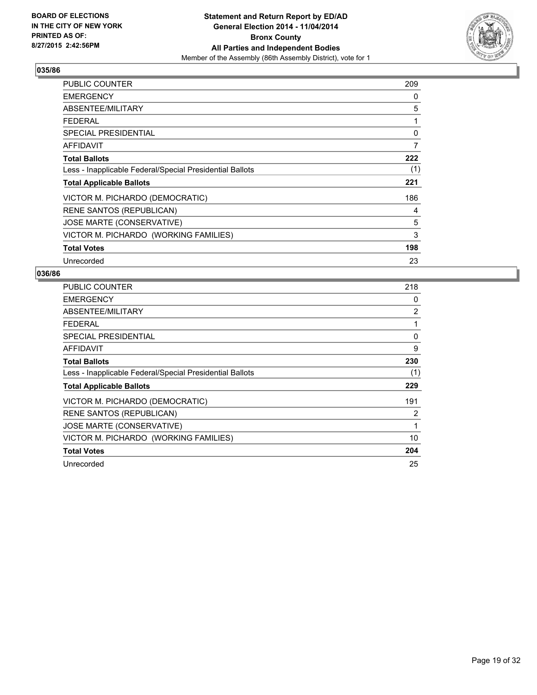

| PUBLIC COUNTER                                           | 209 |
|----------------------------------------------------------|-----|
| <b>EMERGENCY</b>                                         | 0   |
| ABSENTEE/MILITARY                                        | 5   |
| <b>FEDERAL</b>                                           | 1   |
| SPECIAL PRESIDENTIAL                                     | 0   |
| AFFIDAVIT                                                | 7   |
| <b>Total Ballots</b>                                     | 222 |
| Less - Inapplicable Federal/Special Presidential Ballots | (1) |
| <b>Total Applicable Ballots</b>                          | 221 |
| VICTOR M. PICHARDO (DEMOCRATIC)                          | 186 |
| <b>RENE SANTOS (REPUBLICAN)</b>                          | 4   |
| JOSE MARTE (CONSERVATIVE)                                | 5   |
| VICTOR M. PICHARDO (WORKING FAMILIES)                    | 3   |
| <b>Total Votes</b>                                       | 198 |
| Unrecorded                                               | 23  |

| <b>PUBLIC COUNTER</b>                                    | 218 |
|----------------------------------------------------------|-----|
| <b>EMERGENCY</b>                                         | 0   |
| ABSENTEE/MILITARY                                        | 2   |
| <b>FEDERAL</b>                                           | 1   |
| <b>SPECIAL PRESIDENTIAL</b>                              | 0   |
| <b>AFFIDAVIT</b>                                         | 9   |
| <b>Total Ballots</b>                                     | 230 |
| Less - Inapplicable Federal/Special Presidential Ballots | (1) |
| <b>Total Applicable Ballots</b>                          | 229 |
| VICTOR M. PICHARDO (DEMOCRATIC)                          | 191 |
| RENE SANTOS (REPUBLICAN)                                 | 2   |
| JOSE MARTE (CONSERVATIVE)                                | 1   |
| VICTOR M. PICHARDO (WORKING FAMILIES)                    | 10  |
| <b>Total Votes</b>                                       | 204 |
| Unrecorded                                               | 25  |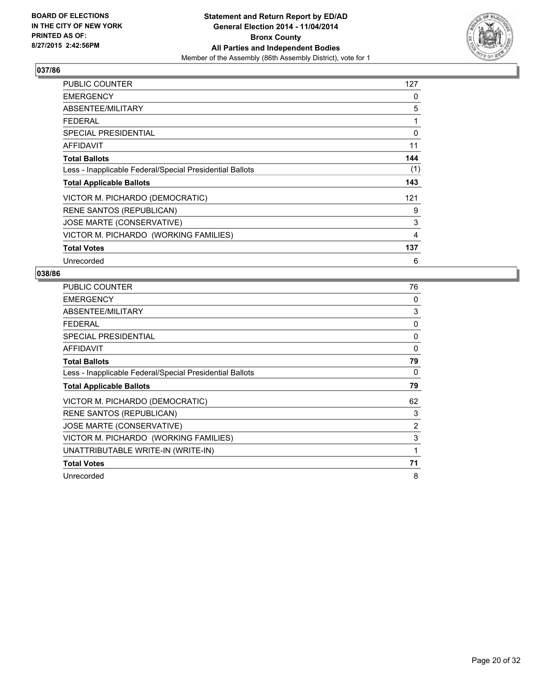

| PUBLIC COUNTER                                           | 127 |
|----------------------------------------------------------|-----|
| <b>EMERGENCY</b>                                         | 0   |
| ABSENTEE/MILITARY                                        | 5   |
| <b>FEDERAL</b>                                           | 1   |
| <b>SPECIAL PRESIDENTIAL</b>                              | 0   |
| AFFIDAVIT                                                | 11  |
| <b>Total Ballots</b>                                     | 144 |
| Less - Inapplicable Federal/Special Presidential Ballots | (1) |
| <b>Total Applicable Ballots</b>                          | 143 |
| VICTOR M. PICHARDO (DEMOCRATIC)                          | 121 |
| <b>RENE SANTOS (REPUBLICAN)</b>                          | 9   |
| JOSE MARTE (CONSERVATIVE)                                | 3   |
| VICTOR M. PICHARDO (WORKING FAMILIES)                    | 4   |
| <b>Total Votes</b>                                       | 137 |
| Unrecorded                                               | 6   |

| <b>PUBLIC COUNTER</b>                                    | 76       |
|----------------------------------------------------------|----------|
| <b>EMERGENCY</b>                                         | 0        |
| ABSENTEE/MILITARY                                        | 3        |
| <b>FEDERAL</b>                                           | 0        |
| <b>SPECIAL PRESIDENTIAL</b>                              | 0        |
| <b>AFFIDAVIT</b>                                         | $\Omega$ |
| <b>Total Ballots</b>                                     | 79       |
| Less - Inapplicable Federal/Special Presidential Ballots | 0        |
| <b>Total Applicable Ballots</b>                          | 79       |
| VICTOR M. PICHARDO (DEMOCRATIC)                          | 62       |
| <b>RENE SANTOS (REPUBLICAN)</b>                          | 3        |
| JOSE MARTE (CONSERVATIVE)                                | 2        |
| VICTOR M. PICHARDO (WORKING FAMILIES)                    | 3        |
| UNATTRIBUTABLE WRITE-IN (WRITE-IN)                       | 1        |
| <b>Total Votes</b>                                       | 71       |
|                                                          |          |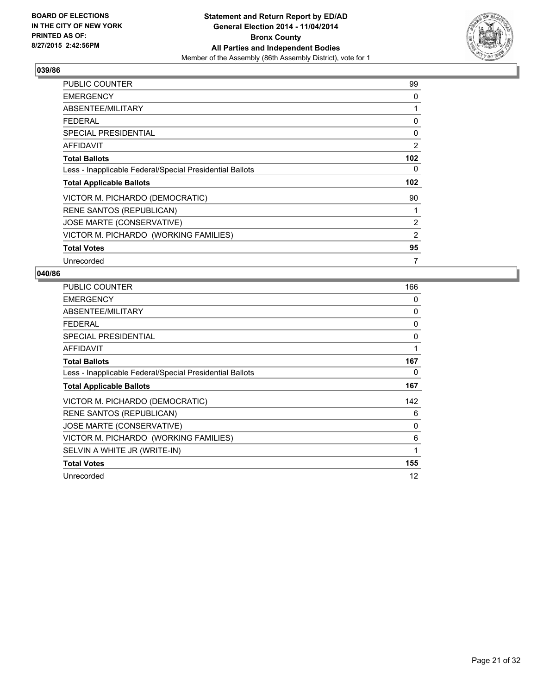

| <b>PUBLIC COUNTER</b>                                    | 99       |
|----------------------------------------------------------|----------|
| <b>EMERGENCY</b>                                         | 0        |
| ABSENTEE/MILITARY                                        | 1        |
| <b>FEDERAL</b>                                           | 0        |
| <b>SPECIAL PRESIDENTIAL</b>                              | $\Omega$ |
| <b>AFFIDAVIT</b>                                         | 2        |
| <b>Total Ballots</b>                                     | 102      |
| Less - Inapplicable Federal/Special Presidential Ballots | 0        |
| <b>Total Applicable Ballots</b>                          | 102      |
| VICTOR M. PICHARDO (DEMOCRATIC)                          | 90       |
| <b>RENE SANTOS (REPUBLICAN)</b>                          | 1        |
| JOSE MARTE (CONSERVATIVE)                                | 2        |
| VICTOR M. PICHARDO (WORKING FAMILIES)                    | 2        |
| <b>Total Votes</b>                                       | 95       |
| Unrecorded                                               | 7        |

| <b>PUBLIC COUNTER</b>                                    | 166 |
|----------------------------------------------------------|-----|
| <b>EMERGENCY</b>                                         | 0   |
| ABSENTEE/MILITARY                                        | 0   |
| <b>FEDERAL</b>                                           | 0   |
| <b>SPECIAL PRESIDENTIAL</b>                              | 0   |
| <b>AFFIDAVIT</b>                                         | 1   |
| <b>Total Ballots</b>                                     | 167 |
| Less - Inapplicable Federal/Special Presidential Ballots | 0   |
| <b>Total Applicable Ballots</b>                          | 167 |
| VICTOR M. PICHARDO (DEMOCRATIC)                          | 142 |
| <b>RENE SANTOS (REPUBLICAN)</b>                          | 6   |
| JOSE MARTE (CONSERVATIVE)                                | 0   |
| VICTOR M. PICHARDO (WORKING FAMILIES)                    | 6   |
| SELVIN A WHITE JR (WRITE-IN)                             | 1   |
| <b>Total Votes</b>                                       | 155 |
| Unrecorded                                               | 12  |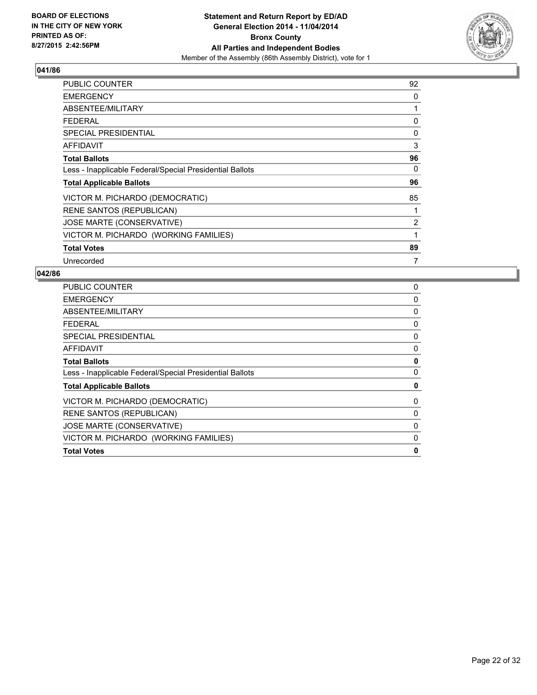

| PUBLIC COUNTER                                           | 92 |
|----------------------------------------------------------|----|
| <b>EMERGENCY</b>                                         | 0  |
| ABSENTEE/MILITARY                                        | 1  |
| <b>FEDERAL</b>                                           | 0  |
| <b>SPECIAL PRESIDENTIAL</b>                              | 0  |
| <b>AFFIDAVIT</b>                                         | 3  |
| <b>Total Ballots</b>                                     | 96 |
| Less - Inapplicable Federal/Special Presidential Ballots | 0  |
| <b>Total Applicable Ballots</b>                          | 96 |
| VICTOR M. PICHARDO (DEMOCRATIC)                          | 85 |
| <b>RENE SANTOS (REPUBLICAN)</b>                          | 1  |
| JOSE MARTE (CONSERVATIVE)                                | 2  |
| VICTOR M. PICHARDO (WORKING FAMILIES)                    | 1  |
| <b>Total Votes</b>                                       | 89 |
| Unrecorded                                               | 7  |

| <b>PUBLIC COUNTER</b>                                    | 0        |
|----------------------------------------------------------|----------|
| <b>EMERGENCY</b>                                         | 0        |
| ABSENTEE/MILITARY                                        | 0        |
| <b>FEDERAL</b>                                           | 0        |
| SPECIAL PRESIDENTIAL                                     | 0        |
| AFFIDAVIT                                                | 0        |
| <b>Total Ballots</b>                                     | 0        |
| Less - Inapplicable Federal/Special Presidential Ballots | $\Omega$ |
| <b>Total Applicable Ballots</b>                          | 0        |
| VICTOR M. PICHARDO (DEMOCRATIC)                          | 0        |
| <b>RENE SANTOS (REPUBLICAN)</b>                          | 0        |
| JOSE MARTE (CONSERVATIVE)                                | 0        |
| VICTOR M. PICHARDO (WORKING FAMILIES)                    | 0        |
| <b>Total Votes</b>                                       | 0        |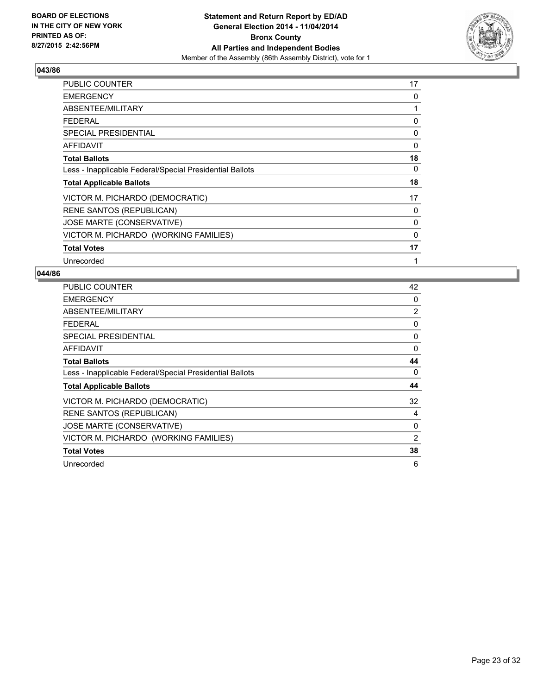

| <b>PUBLIC COUNTER</b>                                    | 17 |
|----------------------------------------------------------|----|
| <b>EMERGENCY</b>                                         | 0  |
| ABSENTEE/MILITARY                                        | 1  |
| <b>FEDERAL</b>                                           | 0  |
| <b>SPECIAL PRESIDENTIAL</b>                              | 0  |
| <b>AFFIDAVIT</b>                                         | 0  |
| <b>Total Ballots</b>                                     | 18 |
| Less - Inapplicable Federal/Special Presidential Ballots | 0  |
| <b>Total Applicable Ballots</b>                          | 18 |
| VICTOR M. PICHARDO (DEMOCRATIC)                          | 17 |
| RENE SANTOS (REPUBLICAN)                                 | 0  |
| JOSE MARTE (CONSERVATIVE)                                | 0  |
| VICTOR M. PICHARDO (WORKING FAMILIES)                    | 0  |
| <b>Total Votes</b>                                       | 17 |
| Unrecorded                                               | 1  |

| <b>PUBLIC COUNTER</b>                                    | 42             |
|----------------------------------------------------------|----------------|
| <b>EMERGENCY</b>                                         | 0              |
| ABSENTEE/MILITARY                                        | $\overline{2}$ |
| <b>FEDERAL</b>                                           | 0              |
| SPECIAL PRESIDENTIAL                                     | 0              |
| AFFIDAVIT                                                | 0              |
| <b>Total Ballots</b>                                     | 44             |
| Less - Inapplicable Federal/Special Presidential Ballots | 0              |
| <b>Total Applicable Ballots</b>                          | 44             |
| VICTOR M. PICHARDO (DEMOCRATIC)                          | 32             |
| <b>RENE SANTOS (REPUBLICAN)</b>                          | 4              |
| JOSE MARTE (CONSERVATIVE)                                | 0              |
| VICTOR M. PICHARDO (WORKING FAMILIES)                    | 2              |
| <b>Total Votes</b>                                       | 38             |
| Unrecorded                                               | 6              |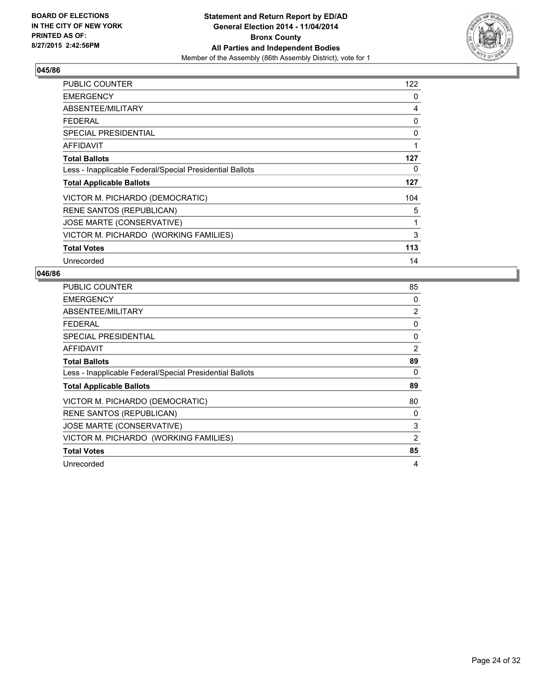

| PUBLIC COUNTER                                           | 122 |
|----------------------------------------------------------|-----|
| <b>EMERGENCY</b>                                         | 0   |
| ABSENTEE/MILITARY                                        | 4   |
| <b>FEDERAL</b>                                           | 0   |
| <b>SPECIAL PRESIDENTIAL</b>                              | 0   |
| AFFIDAVIT                                                | 1   |
| <b>Total Ballots</b>                                     | 127 |
| Less - Inapplicable Federal/Special Presidential Ballots | 0   |
| <b>Total Applicable Ballots</b>                          | 127 |
| VICTOR M. PICHARDO (DEMOCRATIC)                          | 104 |
| RENE SANTOS (REPUBLICAN)                                 | 5   |
| JOSE MARTE (CONSERVATIVE)                                | 1   |
| VICTOR M. PICHARDO (WORKING FAMILIES)                    | 3   |
| <b>Total Votes</b>                                       | 113 |
| Unrecorded                                               | 14  |

| <b>PUBLIC COUNTER</b>                                    | 85 |
|----------------------------------------------------------|----|
| <b>EMERGENCY</b>                                         | 0  |
| ABSENTEE/MILITARY                                        | 2  |
| <b>FEDERAL</b>                                           | 0  |
| <b>SPECIAL PRESIDENTIAL</b>                              | 0  |
| AFFIDAVIT                                                | 2  |
| <b>Total Ballots</b>                                     | 89 |
| Less - Inapplicable Federal/Special Presidential Ballots | 0  |
| <b>Total Applicable Ballots</b>                          | 89 |
| VICTOR M. PICHARDO (DEMOCRATIC)                          | 80 |
| <b>RENE SANTOS (REPUBLICAN)</b>                          | 0  |
| JOSE MARTE (CONSERVATIVE)                                | 3  |
| VICTOR M. PICHARDO (WORKING FAMILIES)                    | 2  |
| <b>Total Votes</b>                                       | 85 |
| Unrecorded                                               | 4  |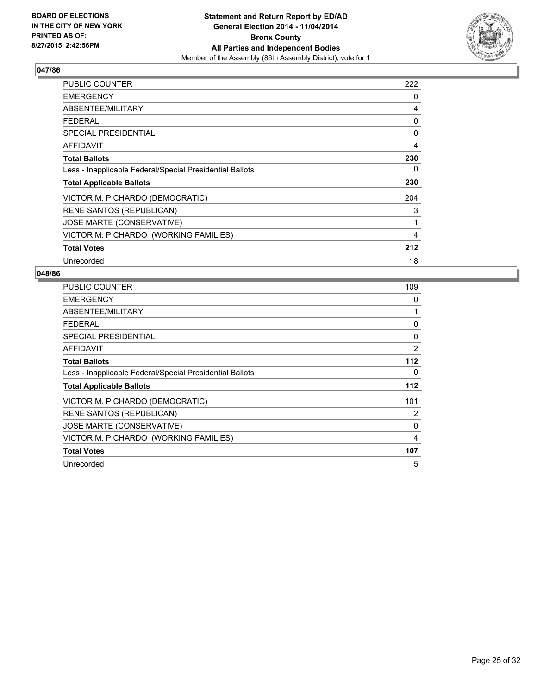

| PUBLIC COUNTER                                           | 222 |
|----------------------------------------------------------|-----|
| <b>EMERGENCY</b>                                         | 0   |
| ABSENTEE/MILITARY                                        | 4   |
| <b>FEDERAL</b>                                           | 0   |
| <b>SPECIAL PRESIDENTIAL</b>                              | 0   |
| AFFIDAVIT                                                | 4   |
| <b>Total Ballots</b>                                     | 230 |
| Less - Inapplicable Federal/Special Presidential Ballots | 0   |
| <b>Total Applicable Ballots</b>                          | 230 |
| VICTOR M. PICHARDO (DEMOCRATIC)                          | 204 |
| <b>RENE SANTOS (REPUBLICAN)</b>                          | 3   |
| JOSE MARTE (CONSERVATIVE)                                | 1   |
| VICTOR M. PICHARDO (WORKING FAMILIES)                    | 4   |
| <b>Total Votes</b>                                       | 212 |
| Unrecorded                                               | 18  |

| <b>PUBLIC COUNTER</b>                                    | 109   |
|----------------------------------------------------------|-------|
| <b>EMERGENCY</b>                                         | 0     |
| ABSENTEE/MILITARY                                        | 1     |
| <b>FEDERAL</b>                                           | 0     |
| SPECIAL PRESIDENTIAL                                     | 0     |
| AFFIDAVIT                                                | 2     |
| <b>Total Ballots</b>                                     | $112$ |
| Less - Inapplicable Federal/Special Presidential Ballots | 0     |
| <b>Total Applicable Ballots</b>                          | 112   |
| VICTOR M. PICHARDO (DEMOCRATIC)                          | 101   |
| <b>RENE SANTOS (REPUBLICAN)</b>                          | 2     |
| JOSE MARTE (CONSERVATIVE)                                | 0     |
| VICTOR M. PICHARDO (WORKING FAMILIES)                    | 4     |
| <b>Total Votes</b>                                       | 107   |
| Unrecorded                                               | 5     |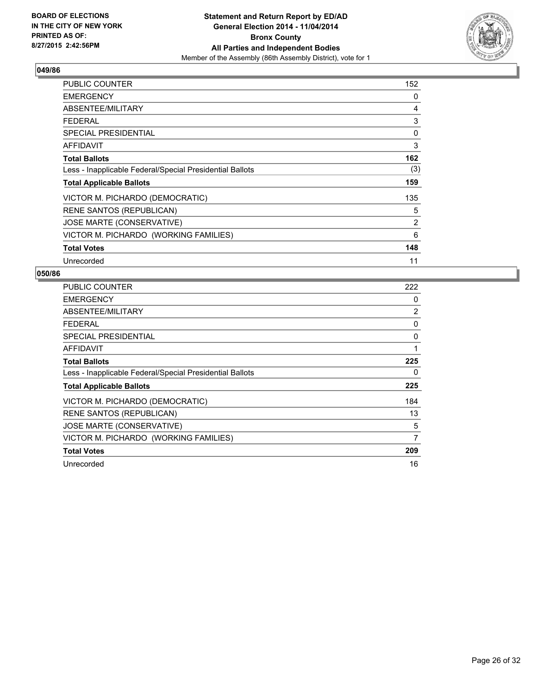

| PUBLIC COUNTER                                           | 152 |
|----------------------------------------------------------|-----|
| <b>EMERGENCY</b>                                         | 0   |
| ABSENTEE/MILITARY                                        | 4   |
| <b>FEDERAL</b>                                           | 3   |
| <b>SPECIAL PRESIDENTIAL</b>                              | 0   |
| AFFIDAVIT                                                | 3   |
| <b>Total Ballots</b>                                     | 162 |
| Less - Inapplicable Federal/Special Presidential Ballots | (3) |
| <b>Total Applicable Ballots</b>                          | 159 |
| VICTOR M. PICHARDO (DEMOCRATIC)                          | 135 |
| RENE SANTOS (REPUBLICAN)                                 | 5   |
| JOSE MARTE (CONSERVATIVE)                                | 2   |
| VICTOR M. PICHARDO (WORKING FAMILIES)                    | 6   |
| <b>Total Votes</b>                                       | 148 |
| Unrecorded                                               | 11  |

| <b>PUBLIC COUNTER</b>                                    | 222 |
|----------------------------------------------------------|-----|
| <b>EMERGENCY</b>                                         | 0   |
| ABSENTEE/MILITARY                                        | 2   |
| <b>FEDERAL</b>                                           | 0   |
| SPECIAL PRESIDENTIAL                                     | 0   |
| AFFIDAVIT                                                | 1   |
| <b>Total Ballots</b>                                     | 225 |
| Less - Inapplicable Federal/Special Presidential Ballots | 0   |
| <b>Total Applicable Ballots</b>                          | 225 |
| VICTOR M. PICHARDO (DEMOCRATIC)                          | 184 |
| <b>RENE SANTOS (REPUBLICAN)</b>                          | 13  |
| JOSE MARTE (CONSERVATIVE)                                | 5   |
| VICTOR M. PICHARDO (WORKING FAMILIES)                    | 7   |
| <b>Total Votes</b>                                       | 209 |
| Unrecorded                                               | 16  |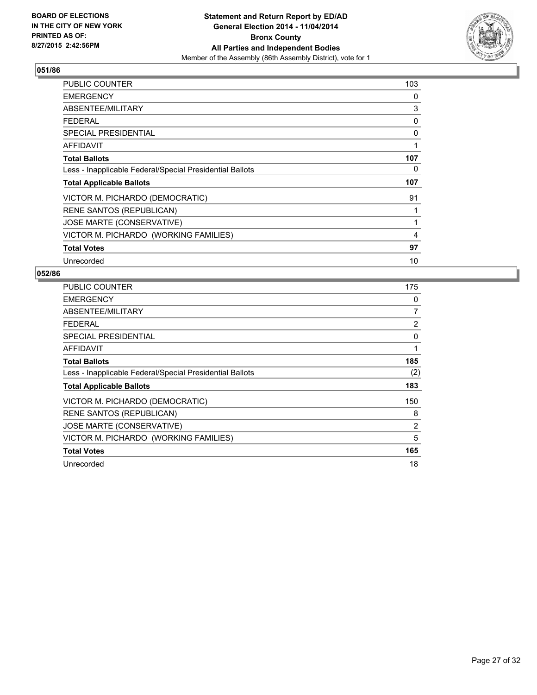

| <b>PUBLIC COUNTER</b>                                    | 103 |
|----------------------------------------------------------|-----|
| <b>EMERGENCY</b>                                         | 0   |
| ABSENTEE/MILITARY                                        | 3   |
| <b>FEDERAL</b>                                           | 0   |
| <b>SPECIAL PRESIDENTIAL</b>                              | 0   |
| <b>AFFIDAVIT</b>                                         | 1   |
| <b>Total Ballots</b>                                     | 107 |
| Less - Inapplicable Federal/Special Presidential Ballots | 0   |
| <b>Total Applicable Ballots</b>                          | 107 |
| VICTOR M. PICHARDO (DEMOCRATIC)                          | 91  |
| <b>RENE SANTOS (REPUBLICAN)</b>                          | 1   |
| JOSE MARTE (CONSERVATIVE)                                | 1   |
| VICTOR M. PICHARDO (WORKING FAMILIES)                    | 4   |
| <b>Total Votes</b>                                       | 97  |
| Unrecorded                                               | 10  |

| <b>PUBLIC COUNTER</b>                                    | 175 |
|----------------------------------------------------------|-----|
| <b>EMERGENCY</b>                                         | 0   |
| ABSENTEE/MILITARY                                        | 7   |
| <b>FEDERAL</b>                                           | 2   |
| SPECIAL PRESIDENTIAL                                     | 0   |
| AFFIDAVIT                                                | 1   |
| <b>Total Ballots</b>                                     | 185 |
| Less - Inapplicable Federal/Special Presidential Ballots | (2) |
| <b>Total Applicable Ballots</b>                          | 183 |
| VICTOR M. PICHARDO (DEMOCRATIC)                          | 150 |
| <b>RENE SANTOS (REPUBLICAN)</b>                          | 8   |
| JOSE MARTE (CONSERVATIVE)                                | 2   |
| VICTOR M. PICHARDO (WORKING FAMILIES)                    | 5   |
| <b>Total Votes</b>                                       | 165 |
| Unrecorded                                               | 18  |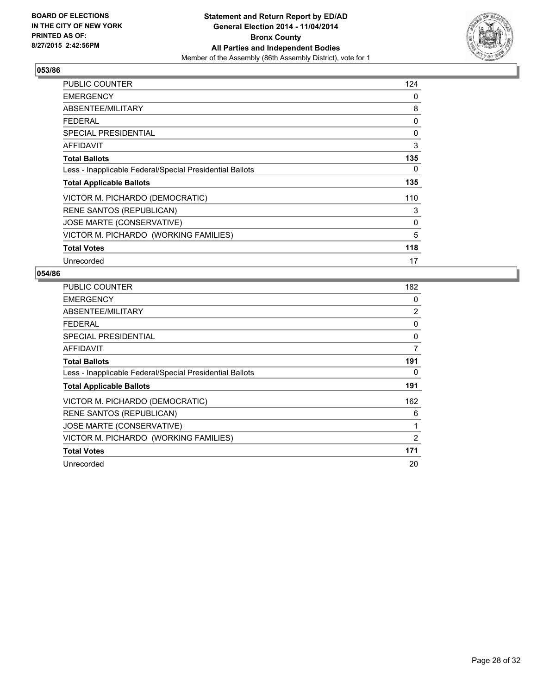

| PUBLIC COUNTER                                           | 124 |
|----------------------------------------------------------|-----|
| <b>EMERGENCY</b>                                         | 0   |
| ABSENTEE/MILITARY                                        | 8   |
| <b>FEDERAL</b>                                           | 0   |
| <b>SPECIAL PRESIDENTIAL</b>                              | 0   |
| <b>AFFIDAVIT</b>                                         | 3   |
| <b>Total Ballots</b>                                     | 135 |
| Less - Inapplicable Federal/Special Presidential Ballots | 0   |
| <b>Total Applicable Ballots</b>                          | 135 |
| VICTOR M. PICHARDO (DEMOCRATIC)                          | 110 |
| <b>RENE SANTOS (REPUBLICAN)</b>                          | 3   |
| JOSE MARTE (CONSERVATIVE)                                | 0   |
| VICTOR M. PICHARDO (WORKING FAMILIES)                    | 5   |
| <b>Total Votes</b>                                       | 118 |
| Unrecorded                                               | 17  |

| PUBLIC COUNTER                                           | 182 |
|----------------------------------------------------------|-----|
| <b>EMERGENCY</b>                                         | 0   |
| ABSENTEE/MILITARY                                        | 2   |
| <b>FEDERAL</b>                                           | 0   |
| <b>SPECIAL PRESIDENTIAL</b>                              | 0   |
| AFFIDAVIT                                                | 7   |
| <b>Total Ballots</b>                                     | 191 |
| Less - Inapplicable Federal/Special Presidential Ballots | 0   |
| <b>Total Applicable Ballots</b>                          | 191 |
| VICTOR M. PICHARDO (DEMOCRATIC)                          | 162 |
| <b>RENE SANTOS (REPUBLICAN)</b>                          | 6   |
| JOSE MARTE (CONSERVATIVE)                                | 1   |
| VICTOR M. PICHARDO (WORKING FAMILIES)                    | 2   |
| <b>Total Votes</b>                                       | 171 |
| Unrecorded                                               | 20  |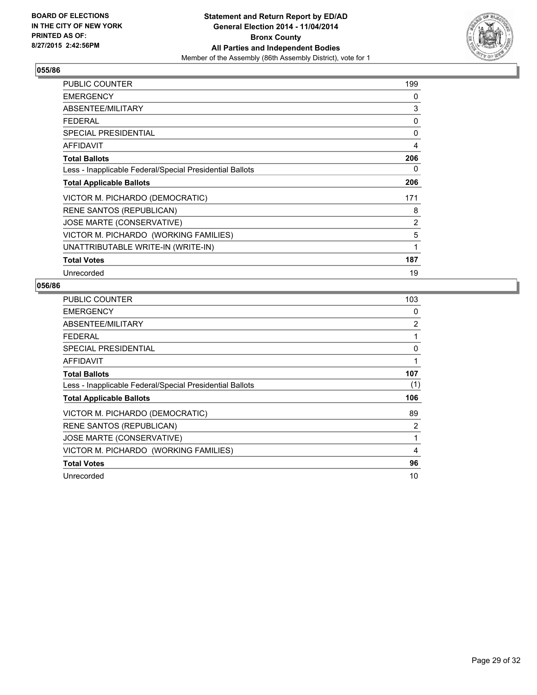

| PUBLIC COUNTER                                           | 199 |
|----------------------------------------------------------|-----|
| <b>EMERGENCY</b>                                         | 0   |
| ABSENTEE/MILITARY                                        | 3   |
| <b>FEDERAL</b>                                           | 0   |
| <b>SPECIAL PRESIDENTIAL</b>                              | 0   |
| <b>AFFIDAVIT</b>                                         | 4   |
| <b>Total Ballots</b>                                     | 206 |
| Less - Inapplicable Federal/Special Presidential Ballots | 0   |
| <b>Total Applicable Ballots</b>                          | 206 |
| VICTOR M. PICHARDO (DEMOCRATIC)                          | 171 |
| <b>RENE SANTOS (REPUBLICAN)</b>                          | 8   |
| <b>JOSE MARTE (CONSERVATIVE)</b>                         | 2   |
| VICTOR M. PICHARDO (WORKING FAMILIES)                    | 5   |
| UNATTRIBUTABLE WRITE-IN (WRITE-IN)                       | 1   |
| <b>Total Votes</b>                                       | 187 |
| Unrecorded                                               | 19  |

| PUBLIC COUNTER                                           | 103 |
|----------------------------------------------------------|-----|
| <b>EMERGENCY</b>                                         | 0   |
| ABSENTEE/MILITARY                                        | 2   |
| <b>FEDERAL</b>                                           | 1   |
| <b>SPECIAL PRESIDENTIAL</b>                              | 0   |
| <b>AFFIDAVIT</b>                                         | 1   |
| <b>Total Ballots</b>                                     | 107 |
| Less - Inapplicable Federal/Special Presidential Ballots | (1) |
| <b>Total Applicable Ballots</b>                          | 106 |
| VICTOR M. PICHARDO (DEMOCRATIC)                          | 89  |
| <b>RENE SANTOS (REPUBLICAN)</b>                          | 2   |
| JOSE MARTE (CONSERVATIVE)                                | 1   |
| VICTOR M. PICHARDO (WORKING FAMILIES)                    | 4   |
| <b>Total Votes</b>                                       | 96  |
| Unrecorded                                               | 10  |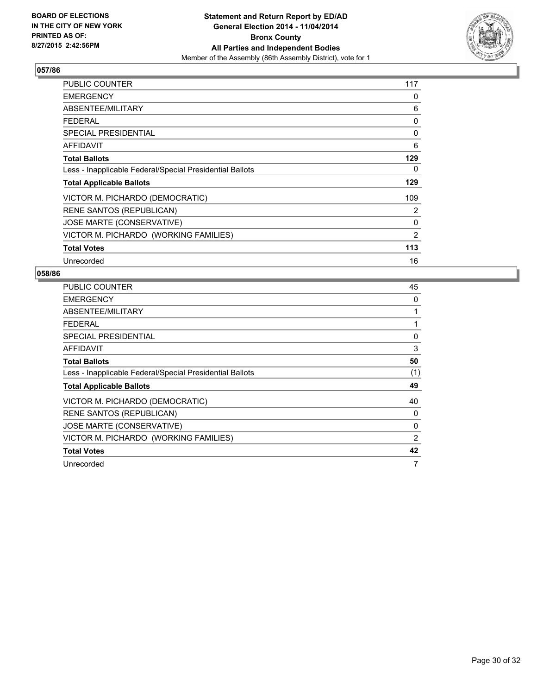

| PUBLIC COUNTER                                           | 117 |
|----------------------------------------------------------|-----|
| <b>EMERGENCY</b>                                         | 0   |
| ABSENTEE/MILITARY                                        | 6   |
| <b>FEDERAL</b>                                           | 0   |
| <b>SPECIAL PRESIDENTIAL</b>                              | 0   |
| AFFIDAVIT                                                | 6   |
| <b>Total Ballots</b>                                     | 129 |
| Less - Inapplicable Federal/Special Presidential Ballots | 0   |
| <b>Total Applicable Ballots</b>                          | 129 |
| VICTOR M. PICHARDO (DEMOCRATIC)                          | 109 |
| <b>RENE SANTOS (REPUBLICAN)</b>                          | 2   |
| JOSE MARTE (CONSERVATIVE)                                | 0   |
| VICTOR M. PICHARDO (WORKING FAMILIES)                    | 2   |
| <b>Total Votes</b>                                       | 113 |
| Unrecorded                                               | 16  |

| <b>PUBLIC COUNTER</b>                                    | 45  |
|----------------------------------------------------------|-----|
| <b>EMERGENCY</b>                                         | 0   |
| ABSENTEE/MILITARY                                        | 1   |
| <b>FEDERAL</b>                                           | 1   |
| <b>SPECIAL PRESIDENTIAL</b>                              | 0   |
| AFFIDAVIT                                                | 3   |
| <b>Total Ballots</b>                                     | 50  |
| Less - Inapplicable Federal/Special Presidential Ballots | (1) |
| <b>Total Applicable Ballots</b>                          | 49  |
| VICTOR M. PICHARDO (DEMOCRATIC)                          | 40  |
| <b>RENE SANTOS (REPUBLICAN)</b>                          | 0   |
| JOSE MARTE (CONSERVATIVE)                                | 0   |
| VICTOR M. PICHARDO (WORKING FAMILIES)                    | 2   |
| <b>Total Votes</b>                                       | 42  |
| Unrecorded                                               | 7   |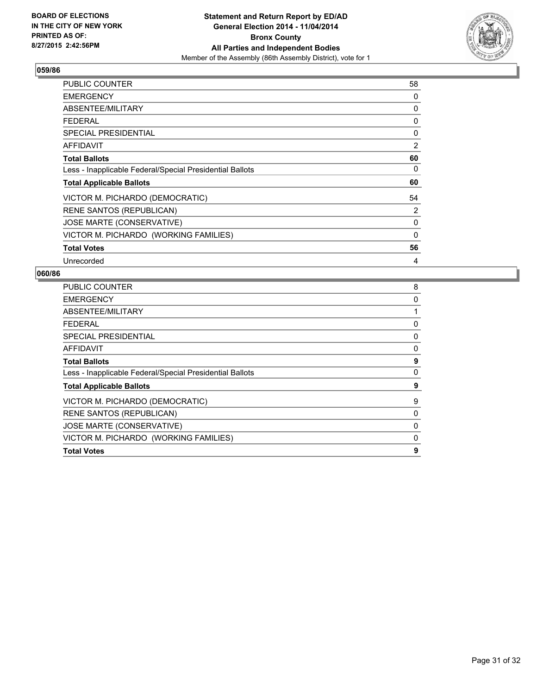

| <b>PUBLIC COUNTER</b>                                    | 58 |
|----------------------------------------------------------|----|
| <b>EMERGENCY</b>                                         | 0  |
| ABSENTEE/MILITARY                                        | 0  |
| <b>FEDERAL</b>                                           | 0  |
| <b>SPECIAL PRESIDENTIAL</b>                              | 0  |
| <b>AFFIDAVIT</b>                                         | 2  |
| <b>Total Ballots</b>                                     | 60 |
| Less - Inapplicable Federal/Special Presidential Ballots | 0  |
| <b>Total Applicable Ballots</b>                          | 60 |
| VICTOR M. PICHARDO (DEMOCRATIC)                          | 54 |
| <b>RENE SANTOS (REPUBLICAN)</b>                          | 2  |
| JOSE MARTE (CONSERVATIVE)                                | 0  |
| VICTOR M. PICHARDO (WORKING FAMILIES)                    | 0  |
| <b>Total Votes</b>                                       | 56 |
| Unrecorded                                               | 4  |

| <b>PUBLIC COUNTER</b>                                    | 8        |
|----------------------------------------------------------|----------|
| <b>EMERGENCY</b>                                         | 0        |
| ABSENTEE/MILITARY                                        | 1        |
| FEDERAL                                                  | 0        |
| SPECIAL PRESIDENTIAL                                     | 0        |
| AFFIDAVIT                                                | 0        |
| <b>Total Ballots</b>                                     | 9        |
| Less - Inapplicable Federal/Special Presidential Ballots | 0        |
| <b>Total Applicable Ballots</b>                          | 9        |
| VICTOR M. PICHARDO (DEMOCRATIC)                          | 9        |
| <b>RENE SANTOS (REPUBLICAN)</b>                          | 0        |
| JOSE MARTE (CONSERVATIVE)                                | 0        |
| VICTOR M. PICHARDO (WORKING FAMILIES)                    | $\Omega$ |
| <b>Total Votes</b>                                       | 9        |